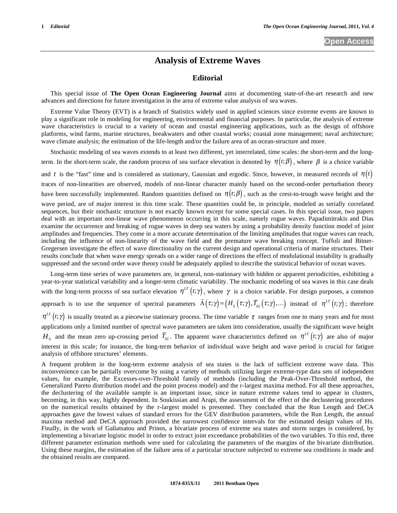## **Analysis of Extreme Waves**

## **Editorial**

This special issue of **The Open Ocean Engineering Journal** aims at documenting state-of-the-art research and new advances and directions for future investigation in the area of extreme value analysis of sea waves.

Extreme Value Theory (EVT) is a branch of Statistics widely used in applied sciences since extreme events are known to play a significant role in modeling for engineering, environmental and financial purposes. In particular, the analysis of extreme wave characteristics is crucial to a variety of ocean and coastal engineering applications, such as the design of offshore platforms, wind farms, marine structures, breakwaters and other coastal works; coastal zone management; naval architecture; wave climate analysis; the estimation of the life-length and/or the failure area of an ocean-structure and more.

Stochastic modeling of sea waves extends to at least two different, yet interrelated, time scales: the short-term and the longterm. In the short-term scale, the random process of sea surface elevation is denoted by  $\eta(t;\beta)$ , where  $\beta$  is a choice variable and *t* is the "fast" time and is considered as stationary, Gaussian and ergodic. Since, however, in measured records of  $\eta(t)$ traces of non-linearities are observed, models of non-linear character mainly based on the second-order perturbation theory have been successfully implemented. Random quantities defined on  $\eta(t;\beta)$ , such as the crest-to-trough wave height and the wave period, are of major interest in this time scale. These quantities could be, in principle, modeled as serially correlated sequences, but their stochastic structure is not exactly known except for some special cases. In this special issue, two papers deal with an important non-linear wave phenomenon occurring in this scale, namely rogue waves. Papadimitrakis and Dias examine the occurrence and breaking of rogue waves in deep sea waters by using a probability density function model of joint amplitudes and frequencies. They come in a more accurate determination of the limiting amplitudes that rogue waves can reach, including the influence of non-linearity of the wave field and the premature wave breaking concept. Toffoli and Bitner-Gregersen investigate the effect of wave directionality on the current design and operational criteria of marine structures. Their results conclude that when wave energy spreads on a wider range of directions the effect of modulational instability is gradually suppressed and the second order wave theory could be adequately applied to describe the statistical behavior of ocean waves.

Long-term time series of wave parameters are, in general, non-stationary with hidden or apparent periodicities, exhibiting a year-to-year statistical variability and a longer-term climatic variability. The stochastic modeling of sea waves in this case deals with the long-term process of sea surface elevation  $\eta^{LT}(t;\gamma)$ , where  $\gamma$  is a choice variable. For design purposes, a common approach is to use the sequence of spectral parameters  $\ddot{\ }$  $\vec{\Lambda}(\tau;\gamma) = (H_s(\tau;\gamma), \vec{T}_{02}(\tau;\gamma), \ldots)$  instead of  $\eta^{LT}(t;\gamma)$ ; therefore  $\eta^{LT}(t;\gamma)$  is usually treated as a piecewise stationary process. The time variable  $\tau$  ranges from one to many years and for most applications only a limited number of spectral wave parameters are taken into consideration, usually the significant wave height  $H_s$  and the mean zero up-crossing period  $\bar{T}_{02}$ . The apparent wave characteristics defined on  $\eta^{LT}(t;\gamma)$  are also of major interest in this scale; for instance, the long-term behavior of individual wave height and wave period is crucial for fatigue analysis of offshore structures' elements.

A frequent problem in the long-term extreme analysis of sea states is the lack of sufficient extreme wave data. This inconvenience can be partially overcome by using a variety of methods utilizing larger extreme-type data sets of independent values, for example, the Excesses-over-Threshold family of methods (including the Peak-Over-Threshold method, the Generalized Pareto distribution model and the point process model) and the r-largest maxima method. For all these approaches, the declustering of the available sample is an important issue, since in nature extreme values tend to appear in clusters, becoming, in this way, highly dependent. In Soukissian and Arapi, the assessment of the effect of the declustering procedures on the numerical results obtained by the r-largest model is presented. They concluded that the Run Length and DeCA approaches gave the lowest values of standard errors for the GEV distribution parameters, while the Run Length, the annual maxima method and DeCA approach provided the narrowest confidence intervals for the estimated design values of Hs. Finally, in the work of Galiatsatou and Prinos, a bivariate process of extreme sea states and storm surges is considered, by implementing a bivariate logistic model in order to extract joint exceedance probabilities of the two variables. To this end, three different parameter estimation methods were used for calculating the parameters of the margins of the bivariate distribution. Using these margins, the estimation of the failure area of a particular structure subjected to extreme sea conditions is made and the obtained results are compared.